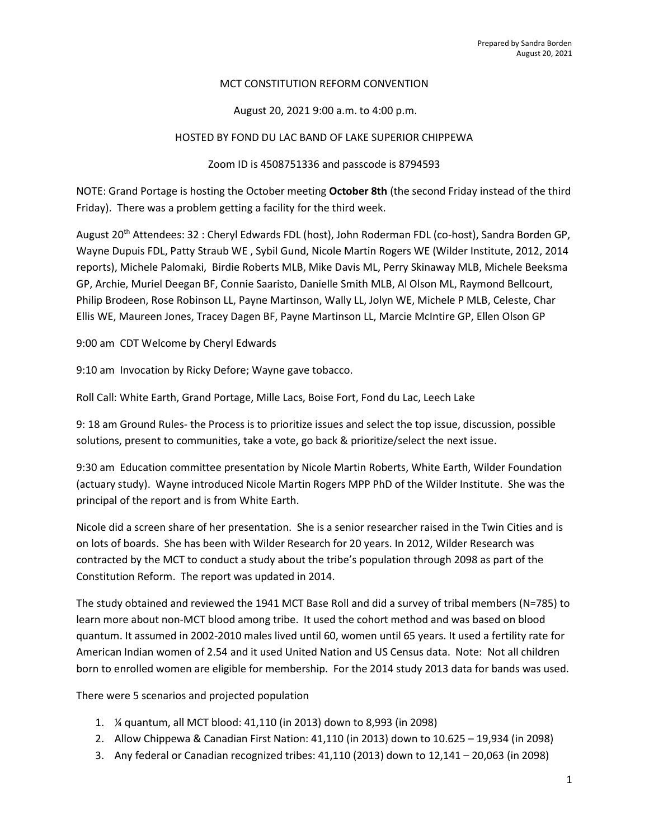### MCT CONSTITUTION REFORM CONVENTION

# August 20, 2021 9:00 a.m. to 4:00 p.m.

### HOSTED BY FOND DU LAC BAND OF LAKE SUPERIOR CHIPPEWA

## Zoom ID is 4508751336 and passcode is 8794593

NOTE: Grand Portage is hosting the October meeting October 8th (the second Friday instead of the third Friday). There was a problem getting a facility for the third week.

August 20th Attendees: 32 : Cheryl Edwards FDL (host), John Roderman FDL (co-host), Sandra Borden GP, Wayne Dupuis FDL, Patty Straub WE , Sybil Gund, Nicole Martin Rogers WE (Wilder Institute, 2012, 2014 reports), Michele Palomaki, Birdie Roberts MLB, Mike Davis ML, Perry Skinaway MLB, Michele Beeksma GP, Archie, Muriel Deegan BF, Connie Saaristo, Danielle Smith MLB, Al Olson ML, Raymond Bellcourt, Philip Brodeen, Rose Robinson LL, Payne Martinson, Wally LL, Jolyn WE, Michele P MLB, Celeste, Char Ellis WE, Maureen Jones, Tracey Dagen BF, Payne Martinson LL, Marcie McIntire GP, Ellen Olson GP

9:00 am CDT Welcome by Cheryl Edwards

9:10 am Invocation by Ricky Defore; Wayne gave tobacco.

Roll Call: White Earth, Grand Portage, Mille Lacs, Boise Fort, Fond du Lac, Leech Lake

9: 18 am Ground Rules- the Process is to prioritize issues and select the top issue, discussion, possible solutions, present to communities, take a vote, go back & prioritize/select the next issue.

9:30 am Education committee presentation by Nicole Martin Roberts, White Earth, Wilder Foundation (actuary study). Wayne introduced Nicole Martin Rogers MPP PhD of the Wilder Institute. She was the principal of the report and is from White Earth.

Nicole did a screen share of her presentation. She is a senior researcher raised in the Twin Cities and is on lots of boards. She has been with Wilder Research for 20 years. In 2012, Wilder Research was contracted by the MCT to conduct a study about the tribe's population through 2098 as part of the Constitution Reform. The report was updated in 2014.

The study obtained and reviewed the 1941 MCT Base Roll and did a survey of tribal members (N=785) to learn more about non-MCT blood among tribe. It used the cohort method and was based on blood quantum. It assumed in 2002-2010 males lived until 60, women until 65 years. It used a fertility rate for American Indian women of 2.54 and it used United Nation and US Census data. Note: Not all children born to enrolled women are eligible for membership. For the 2014 study 2013 data for bands was used.

There were 5 scenarios and projected population

- 1. ¼ quantum, all MCT blood: 41,110 (in 2013) down to 8,993 (in 2098)
- 2. Allow Chippewa & Canadian First Nation: 41,110 (in 2013) down to 10.625 19,934 (in 2098)
- 3. Any federal or Canadian recognized tribes: 41,110 (2013) down to 12,141 20,063 (in 2098)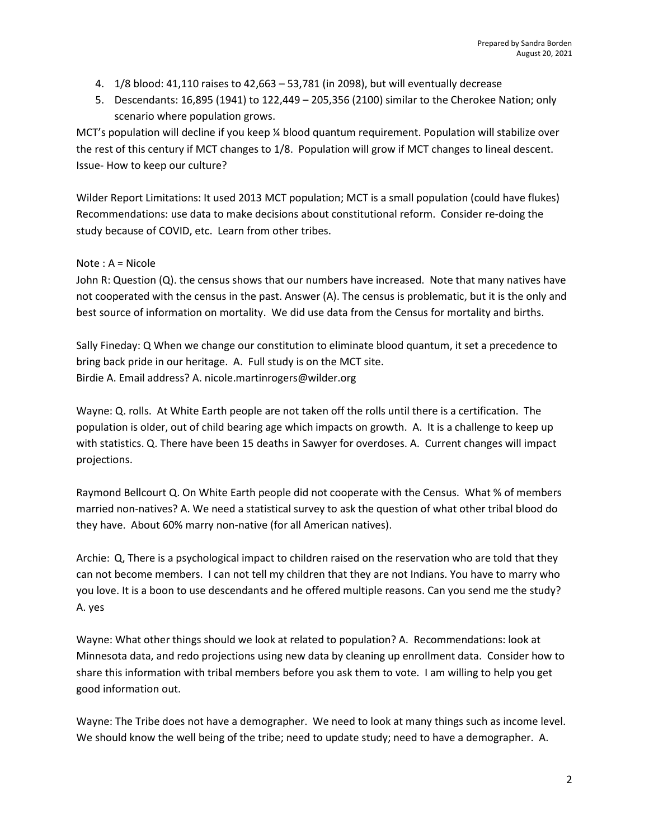- 4. 1/8 blood: 41,110 raises to 42,663 53,781 (in 2098), but will eventually decrease
- 5. Descendants: 16,895 (1941) to 122,449 205,356 (2100) similar to the Cherokee Nation; only scenario where population grows.

MCT's population will decline if you keep ¼ blood quantum requirement. Population will stabilize over the rest of this century if MCT changes to 1/8. Population will grow if MCT changes to lineal descent. Issue- How to keep our culture?

Wilder Report Limitations: It used 2013 MCT population; MCT is a small population (could have flukes) Recommendations: use data to make decisions about constitutional reform. Consider re-doing the study because of COVID, etc. Learn from other tribes.

# Note : A = Nicole

John R: Question (Q). the census shows that our numbers have increased. Note that many natives have not cooperated with the census in the past. Answer (A). The census is problematic, but it is the only and best source of information on mortality. We did use data from the Census for mortality and births.

Sally Fineday: Q When we change our constitution to eliminate blood quantum, it set a precedence to bring back pride in our heritage. A. Full study is on the MCT site. Birdie A. Email address? A. nicole.martinrogers@wilder.org

Wayne: Q. rolls. At White Earth people are not taken off the rolls until there is a certification. The population is older, out of child bearing age which impacts on growth. A. It is a challenge to keep up with statistics. Q. There have been 15 deaths in Sawyer for overdoses. A. Current changes will impact projections.

Raymond Bellcourt Q. On White Earth people did not cooperate with the Census. What % of members married non-natives? A. We need a statistical survey to ask the question of what other tribal blood do they have. About 60% marry non-native (for all American natives).

Archie: Q, There is a psychological impact to children raised on the reservation who are told that they can not become members. I can not tell my children that they are not Indians. You have to marry who you love. It is a boon to use descendants and he offered multiple reasons. Can you send me the study? A. yes

Wayne: What other things should we look at related to population? A. Recommendations: look at Minnesota data, and redo projections using new data by cleaning up enrollment data. Consider how to share this information with tribal members before you ask them to vote. I am willing to help you get good information out.

Wayne: The Tribe does not have a demographer. We need to look at many things such as income level. We should know the well being of the tribe; need to update study; need to have a demographer. A.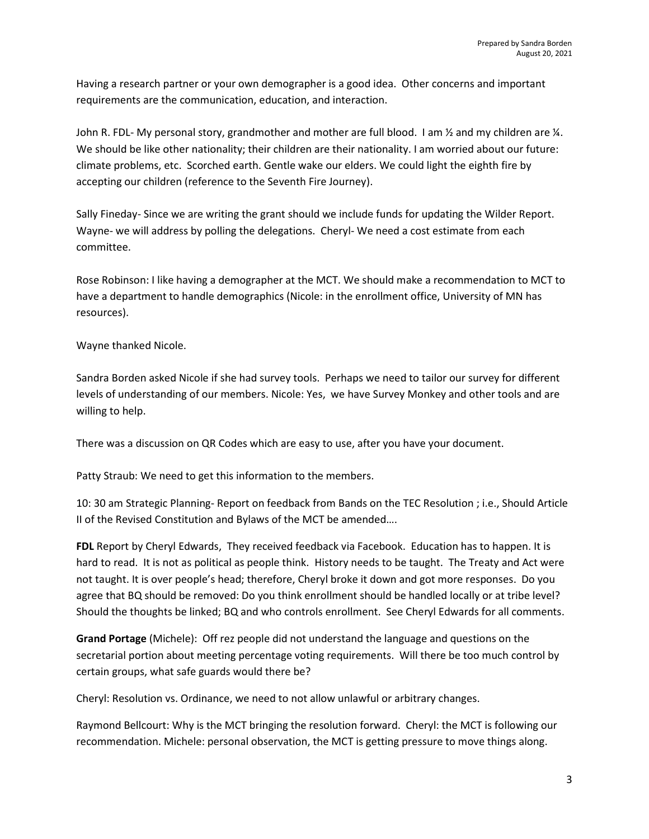Having a research partner or your own demographer is a good idea. Other concerns and important requirements are the communication, education, and interaction.

John R. FDL- My personal story, grandmother and mother are full blood. I am 1/2 and my children are 1/4. We should be like other nationality; their children are their nationality. I am worried about our future: climate problems, etc. Scorched earth. Gentle wake our elders. We could light the eighth fire by accepting our children (reference to the Seventh Fire Journey).

Sally Fineday- Since we are writing the grant should we include funds for updating the Wilder Report. Wayne- we will address by polling the delegations. Cheryl- We need a cost estimate from each committee.

Rose Robinson: I like having a demographer at the MCT. We should make a recommendation to MCT to have a department to handle demographics (Nicole: in the enrollment office, University of MN has resources).

Wayne thanked Nicole.

Sandra Borden asked Nicole if she had survey tools. Perhaps we need to tailor our survey for different levels of understanding of our members. Nicole: Yes, we have Survey Monkey and other tools and are willing to help.

There was a discussion on QR Codes which are easy to use, after you have your document.

Patty Straub: We need to get this information to the members.

10: 30 am Strategic Planning- Report on feedback from Bands on the TEC Resolution ; i.e., Should Article II of the Revised Constitution and Bylaws of the MCT be amended….

FDL Report by Cheryl Edwards, They received feedback via Facebook. Education has to happen. It is hard to read. It is not as political as people think. History needs to be taught. The Treaty and Act were not taught. It is over people's head; therefore, Cheryl broke it down and got more responses. Do you agree that BQ should be removed: Do you think enrollment should be handled locally or at tribe level? Should the thoughts be linked; BQ and who controls enrollment. See Cheryl Edwards for all comments.

Grand Portage (Michele): Off rez people did not understand the language and questions on the secretarial portion about meeting percentage voting requirements. Will there be too much control by certain groups, what safe guards would there be?

Cheryl: Resolution vs. Ordinance, we need to not allow unlawful or arbitrary changes.

Raymond Bellcourt: Why is the MCT bringing the resolution forward. Cheryl: the MCT is following our recommendation. Michele: personal observation, the MCT is getting pressure to move things along.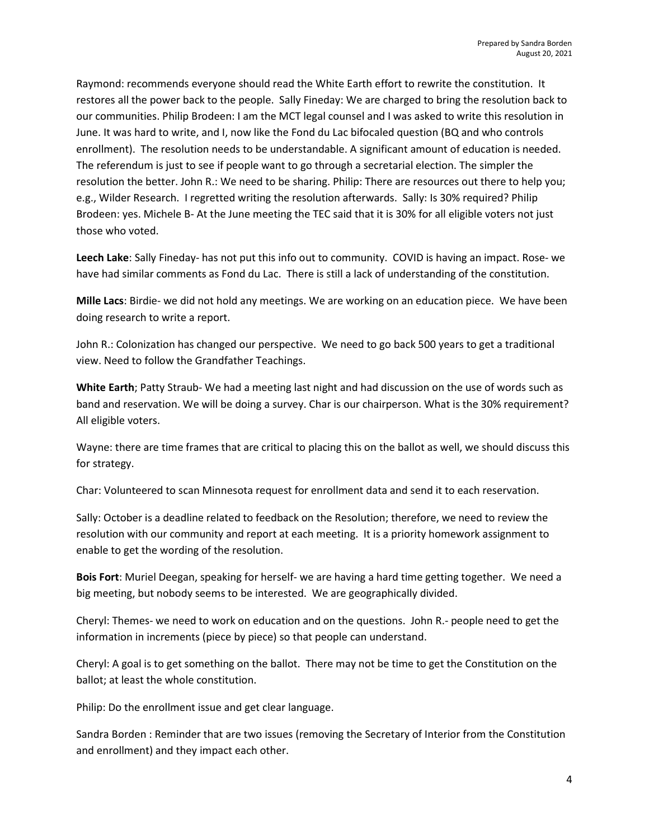Raymond: recommends everyone should read the White Earth effort to rewrite the constitution. It restores all the power back to the people. Sally Fineday: We are charged to bring the resolution back to our communities. Philip Brodeen: I am the MCT legal counsel and I was asked to write this resolution in June. It was hard to write, and I, now like the Fond du Lac bifocaled question (BQ and who controls enrollment). The resolution needs to be understandable. A significant amount of education is needed. The referendum is just to see if people want to go through a secretarial election. The simpler the resolution the better. John R.: We need to be sharing. Philip: There are resources out there to help you; e.g., Wilder Research. I regretted writing the resolution afterwards. Sally: Is 30% required? Philip Brodeen: yes. Michele B- At the June meeting the TEC said that it is 30% for all eligible voters not just those who voted.

Leech Lake: Sally Fineday- has not put this info out to community. COVID is having an impact. Rose- we have had similar comments as Fond du Lac. There is still a lack of understanding of the constitution.

Mille Lacs: Birdie- we did not hold any meetings. We are working on an education piece. We have been doing research to write a report.

John R.: Colonization has changed our perspective. We need to go back 500 years to get a traditional view. Need to follow the Grandfather Teachings.

White Earth; Patty Straub- We had a meeting last night and had discussion on the use of words such as band and reservation. We will be doing a survey. Char is our chairperson. What is the 30% requirement? All eligible voters.

Wayne: there are time frames that are critical to placing this on the ballot as well, we should discuss this for strategy.

Char: Volunteered to scan Minnesota request for enrollment data and send it to each reservation.

Sally: October is a deadline related to feedback on the Resolution; therefore, we need to review the resolution with our community and report at each meeting. It is a priority homework assignment to enable to get the wording of the resolution.

Bois Fort: Muriel Deegan, speaking for herself- we are having a hard time getting together. We need a big meeting, but nobody seems to be interested. We are geographically divided.

Cheryl: Themes- we need to work on education and on the questions. John R.- people need to get the information in increments (piece by piece) so that people can understand.

Cheryl: A goal is to get something on the ballot. There may not be time to get the Constitution on the ballot; at least the whole constitution.

Philip: Do the enrollment issue and get clear language.

Sandra Borden : Reminder that are two issues (removing the Secretary of Interior from the Constitution and enrollment) and they impact each other.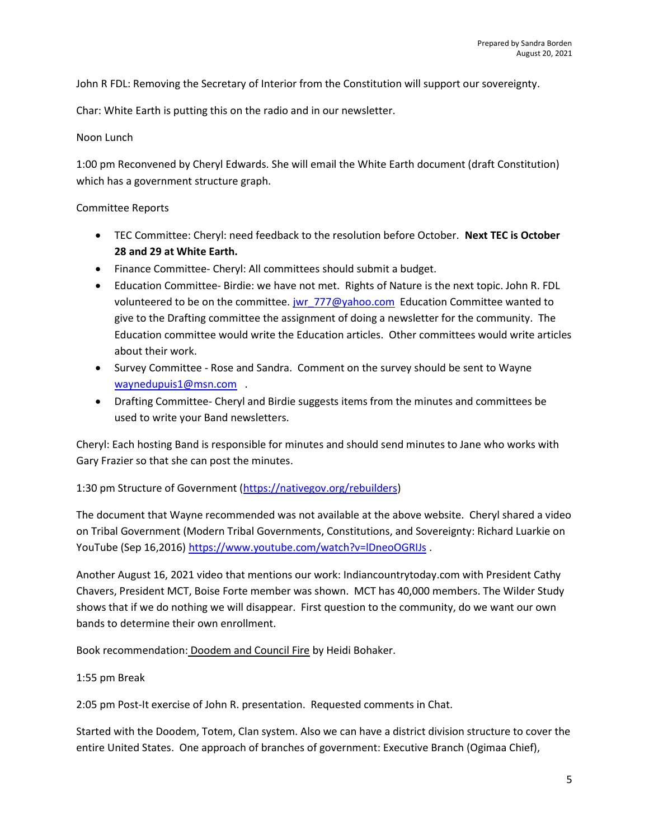John R FDL: Removing the Secretary of Interior from the Constitution will support our sovereignty.

Char: White Earth is putting this on the radio and in our newsletter.

# Noon Lunch

1:00 pm Reconvened by Cheryl Edwards. She will email the White Earth document (draft Constitution) which has a government structure graph.

# Committee Reports

- TEC Committee: Cheryl: need feedback to the resolution before October. Next TEC is October 28 and 29 at White Earth.
- Finance Committee- Cheryl: All committees should submit a budget.
- Education Committee- Birdie: we have not met. Rights of Nature is the next topic. John R. FDL volunteered to be on the committee. jwr  $777@yahoo.com$  Education Committee wanted to give to the Drafting committee the assignment of doing a newsletter for the community. The Education committee would write the Education articles. Other committees would write articles about their work.
- Survey Committee Rose and Sandra. Comment on the survey should be sent to Wayne waynedupuis1@msn.com .
- Drafting Committee- Cheryl and Birdie suggests items from the minutes and committees be used to write your Band newsletters.

Cheryl: Each hosting Band is responsible for minutes and should send minutes to Jane who works with Gary Frazier so that she can post the minutes.

1:30 pm Structure of Government (https://nativegov.org/rebuilders)

The document that Wayne recommended was not available at the above website. Cheryl shared a video on Tribal Government (Modern Tribal Governments, Constitutions, and Sovereignty: Richard Luarkie on YouTube (Sep 16,2016) https://www.youtube.com/watch?v=IDneoOGRIJs.

Another August 16, 2021 video that mentions our work: Indiancountrytoday.com with President Cathy Chavers, President MCT, Boise Forte member was shown. MCT has 40,000 members. The Wilder Study shows that if we do nothing we will disappear. First question to the community, do we want our own bands to determine their own enrollment.

Book recommendation: Doodem and Council Fire by Heidi Bohaker.

### 1:55 pm Break

2:05 pm Post-It exercise of John R. presentation. Requested comments in Chat.

Started with the Doodem, Totem, Clan system. Also we can have a district division structure to cover the entire United States. One approach of branches of government: Executive Branch (Ogimaa Chief),